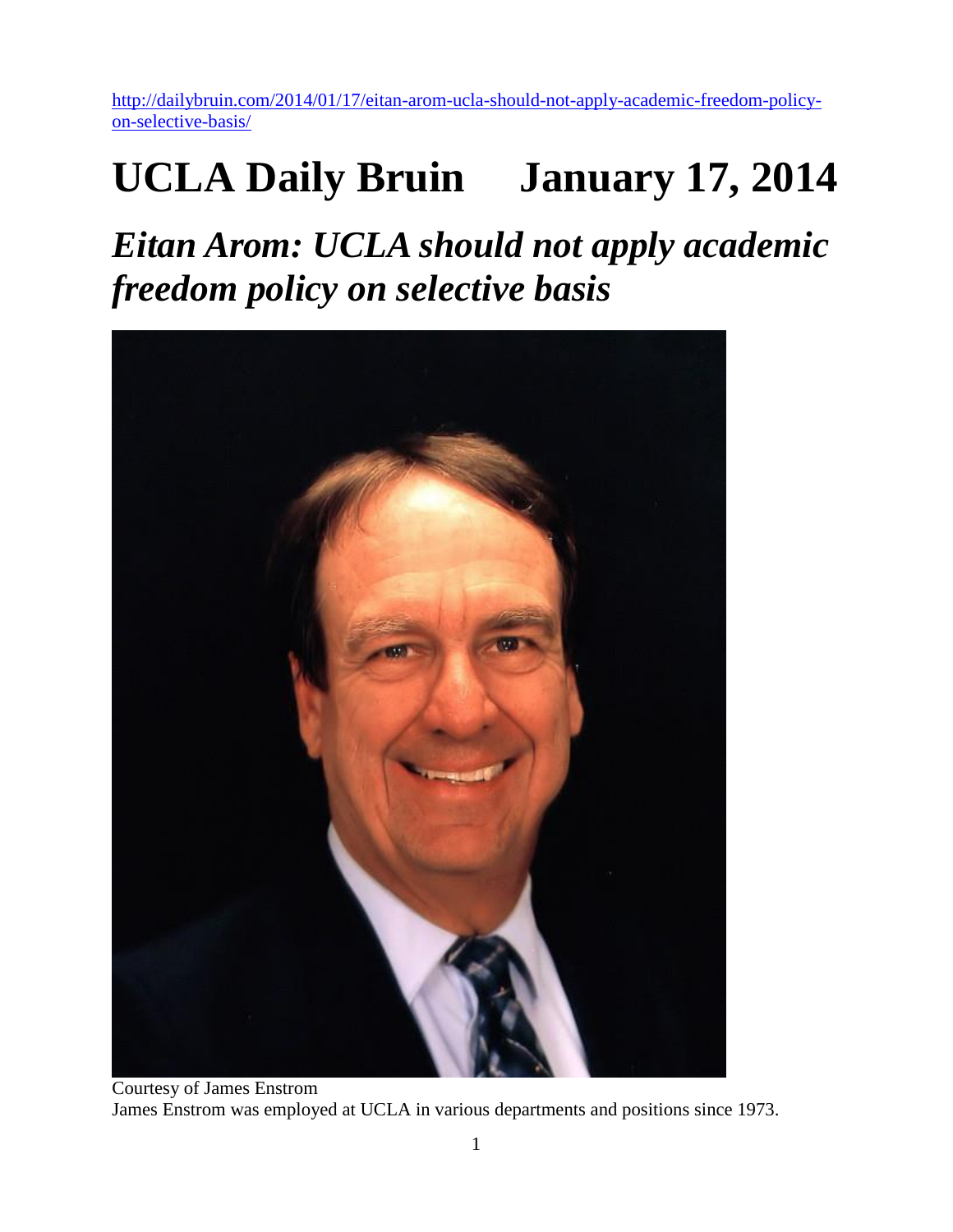[http://dailybruin.com/2014/01/17/eitan-arom-ucla-should-not-apply-academic-freedom-policy](http://dailybruin.com/2014/01/17/eitan-arom-ucla-should-not-apply-academic-freedom-policy-on-selective-basis/)[on-selective-basis/](http://dailybruin.com/2014/01/17/eitan-arom-ucla-should-not-apply-academic-freedom-policy-on-selective-basis/)

## **UCLA Daily Bruin January 17, 2014**

*Eitan Arom: UCLA should not apply academic freedom policy on selective basis*



Courtesy of James Enstrom James Enstrom was employed at UCLA in various departments and positions since 1973.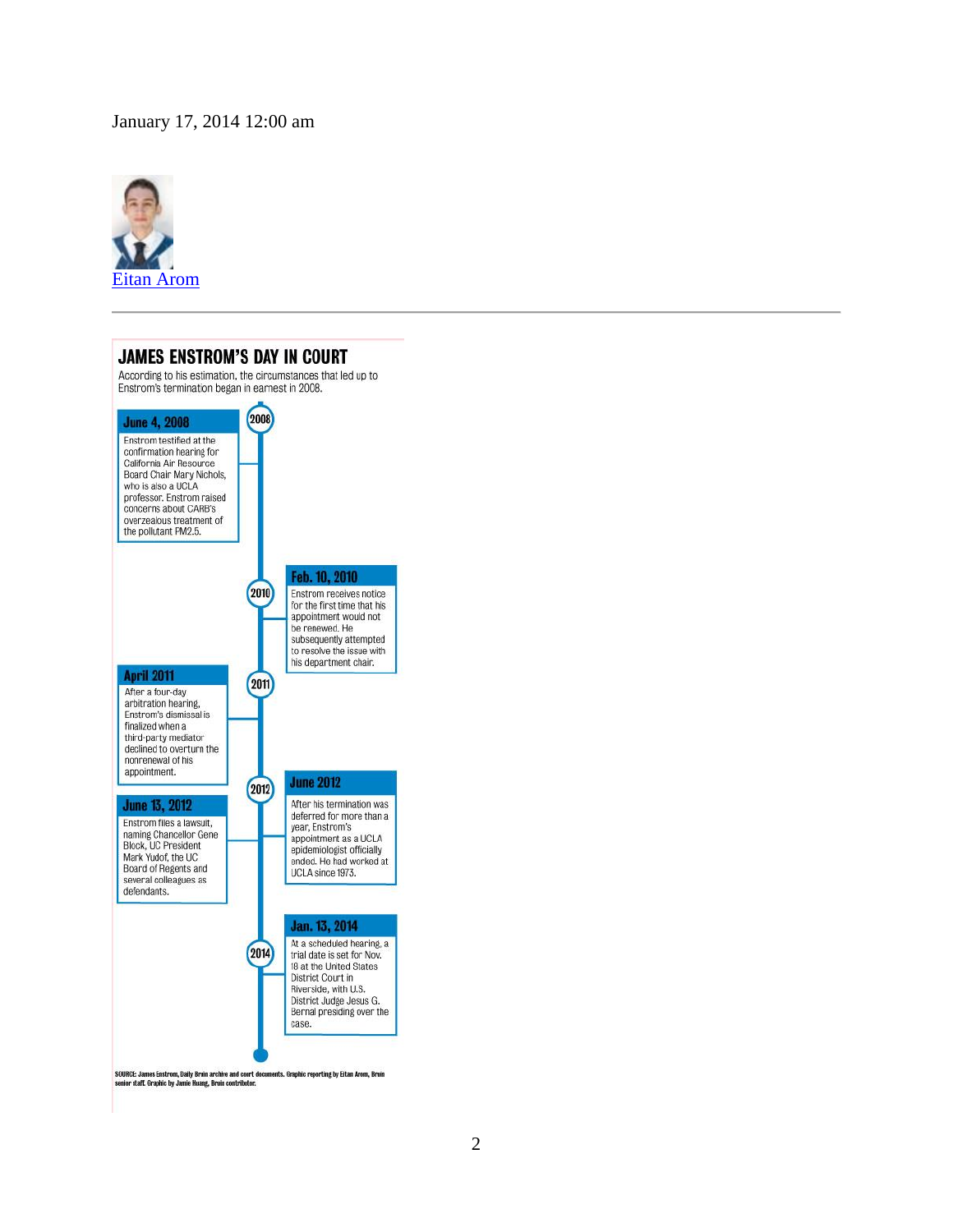## January 17, 2014 12:00 am



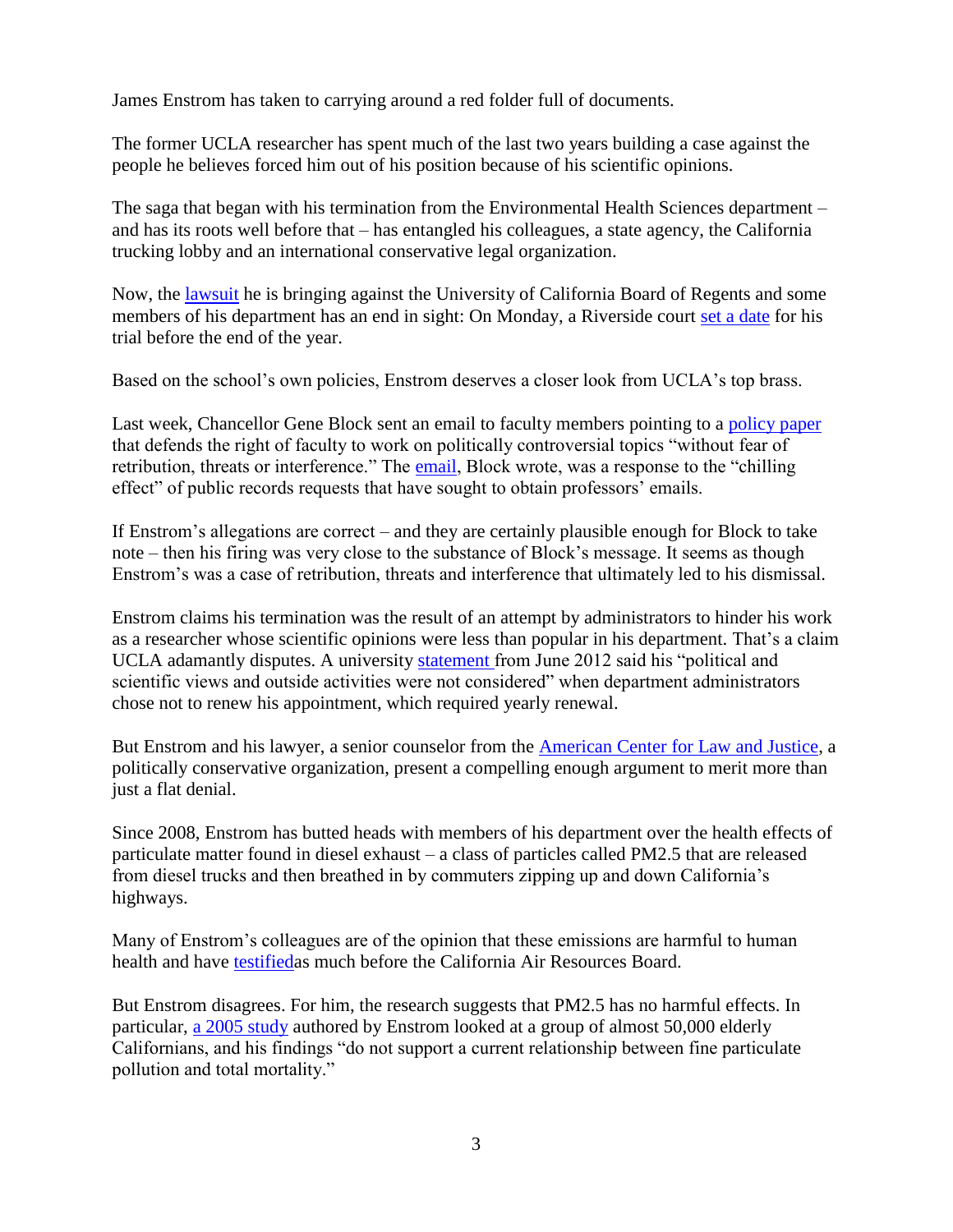James Enstrom has taken to carrying around a red folder full of documents.

The former UCLA researcher has spent much of the last two years building a case against the people he believes forced him out of his position because of his scientific opinions.

The saga that began with his termination from the Environmental Health Sciences department – and has its roots well before that – has entangled his colleagues, a state agency, the California trucking lobby and an international conservative legal organization.

Now, the [lawsuit](http://thefire.org/public/pdfs/41bead8455fb5b5a0f7415a3b970a8a0.pdf?direct) he is bringing against the University of California Board of Regents and some members of his department has an end in sight: On Monday, a Riverside court [set a date](http://dailybruin.com/2014/01/14/trial-date-set-for-former-researcher-james-enstroms-lawsuit/) for his trial before the end of the year.

Based on the school's own policies, Enstrom deserves a closer look from UCLA's top brass.

Last week, Chancellor Gene Block sent an email to faculty members pointing to a [policy paper](https://www.apo.ucla.edu/resources/academic-freedom) that defends the right of faculty to work on politically controversial topics "without fear of retribution, threats or interference." The [email,](http://dailybruin.com/2014/01/11/chancellor-block-releases-statement-on-records-requests/) Block wrote, was a response to the "chilling" effect" of public records requests that have sought to obtain professors' emails.

If Enstrom's allegations are correct – and they are certainly plausible enough for Block to take note – then his firing was very close to the substance of Block's message. It seems as though Enstrom's was a case of retribution, threats and interference that ultimately led to his dismissal.

Enstrom claims his termination was the result of an attempt by administrators to hinder his work as a researcher whose scientific opinions were less than popular in his department. That's a claim UCLA adamantly disputes. A university [statement f](http://newsroom.ucla.edu/portal/ucla/ucla-statement-regarding-environmental-235208.aspx)rom June 2012 said his "political and scientific views and outside activities were not considered" when department administrators chose not to renew his appointment, which required yearly renewal.

But Enstrom and his lawyer, a senior counselor from the [American Center for Law and Justice,](http://aclj.org/) a politically conservative organization, present a compelling enough argument to merit more than just a flat denial.

Since 2008, Enstrom has butted heads with members of his department over the health effects of particulate matter found in diesel exhaust – a class of particles called PM2.5 that are released from diesel trucks and then breathed in by commuters zipping up and down California's highways.

Many of Enstrom's colleagues are of the opinion that these emissions are harmful to human health and have [testifieda](http://www.arb.ca.gov/lists/truckbus08/426-public-health-letter--truck-and-bus-rule-dec-2008.pdf)s much before the California Air Resources Board.

But Enstrom disagrees. For him, the research suggests that PM2.5 has no harmful effects. In particular, [a 2005 study](http://www.arb.ca.gov/planning/gmerp/dec1plan/gmerp_comments/enstrom.pdf) authored by Enstrom looked at a group of almost 50,000 elderly Californians, and his findings "do not support a current relationship between fine particulate pollution and total mortality."